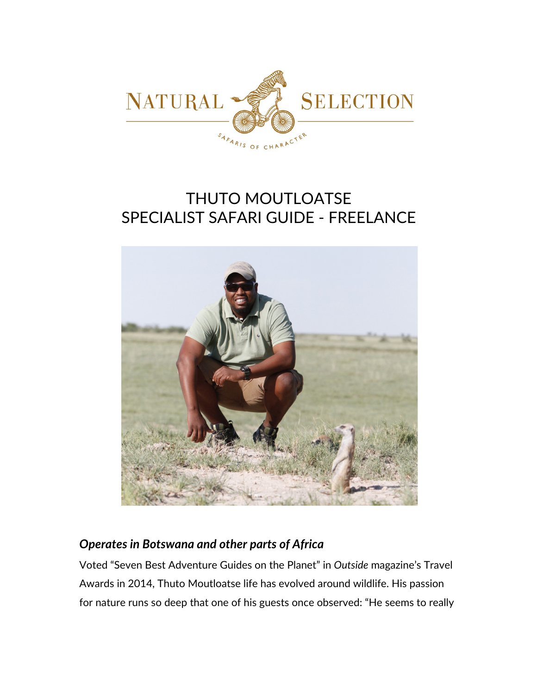

# THUTO MOUTLOATSE SPECIALIST SAFARI GUIDE - FREELANCE



## *Operates in Botswana and other parts of Africa*

Voted "Seven Best Adventure Guides on the Planet" in *Outside* magazine's Travel Awards in 2014, Thuto Moutloatse life has evolved around wildlife. His passion for nature runs so deep that one of his guests once observed: "He seems to really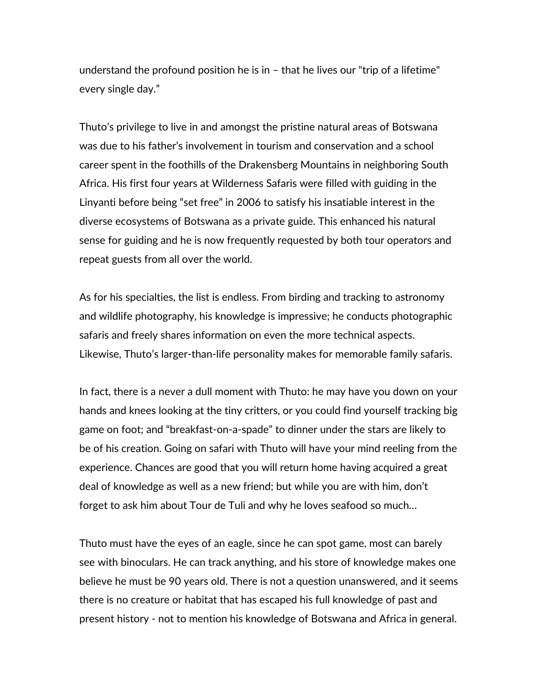understand the profound position he is in – that he lives our "trip of a lifetime" every single day."

Thuto's privilege to live in and amongst the pristine natural areas of Botswana was due to his father's involvement in tourism and conservation and a school career spent in the foothills of the Drakensberg Mountains in neighboring South Africa. His first four years at Wilderness Safaris were filled with guiding in the Linyanti before being "set free" in 2006 to satisfy his insatiable interest in the diverse ecosystems of Botswana as a private guide. This enhanced his natural sense for guiding and he is now frequently requested by both tour operators and repeat guests from all over the world.

As for his specialties, the list is endless. From birding and tracking to astronomy and wildlife photography, his knowledge is impressive; he conducts photographic safaris and freely shares information on even the more technical aspects. Likewise, Thuto's larger-than-life personality makes for memorable family safaris.

In fact, there is a never a dull moment with Thuto: he may have you down on your hands and knees looking at the tiny critters, or you could find yourself tracking big game on foot; and "breakfast-on-a-spade" to dinner under the stars are likely to be of his creation. Going on safari with Thuto will have your mind reeling from the experience. Chances are good that you will return home having acquired a great deal of knowledge as well as a new friend; but while you are with him, don't forget to ask him about Tour de Tuli and why he loves seafood so much…

Thuto must have the eyes of an eagle, since he can spot game, most can barely see with binoculars. He can track anything, and his store of knowledge makes one believe he must be 90 years old. There is not a question unanswered, and it seems there is no creature or habitat that has escaped his full knowledge of past and present history - not to mention his knowledge of Botswana and Africa in general.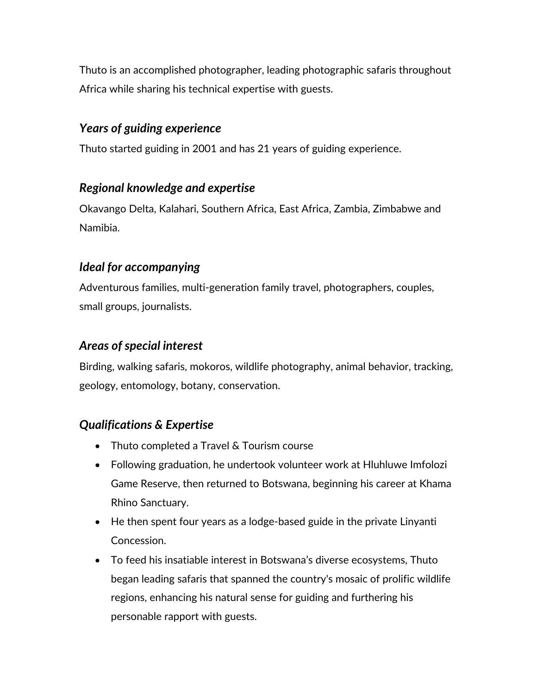Thuto is an accomplished photographer, leading photographic safaris throughout Africa while sharing his technical expertise with guests.

#### *Years of guiding experience*

Thuto started guiding in 2001 and has 21 years of guiding experience.

#### *Regional knowledge and expertise*

Okavango Delta, Kalahari, Southern Africa, East Africa, Zambia, Zimbabwe and Namibia.

#### *Ideal for accompanying*

Adventurous families, multi-generation family travel, photographers, couples, small groups, journalists.

### *Areas of special interest*

Birding, walking safaris, mokoros, wildlife photography, animal behavior, tracking, geology, entomology, botany, conservation.

## *Qualifications & Expertise*

- Thuto completed a Travel & Tourism course
- Following graduation, he undertook volunteer work at Hluhluwe Imfolozi Game Reserve, then returned to Botswana, beginning his career at Khama Rhino Sanctuary.
- He then spent four years as a lodge-based guide in the private Linyanti Concession.
- To feed his insatiable interest in Botswana's diverse ecosystems, Thuto began leading safaris that spanned the country's mosaic of prolific wildlife regions, enhancing his natural sense for guiding and furthering his personable rapport with guests.